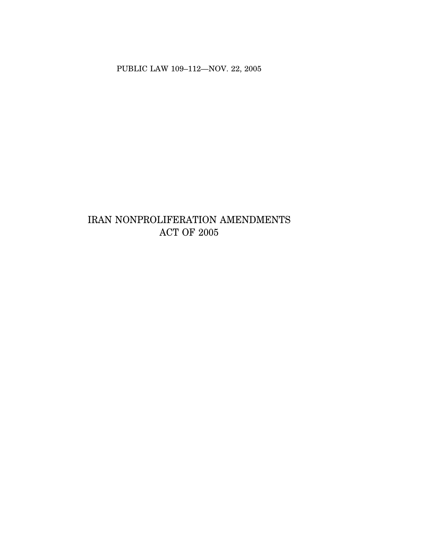PUBLIC LAW 109–112—NOV. 22, 2005

# IRAN NONPROLIFERATION AMENDMENTS ACT OF 2005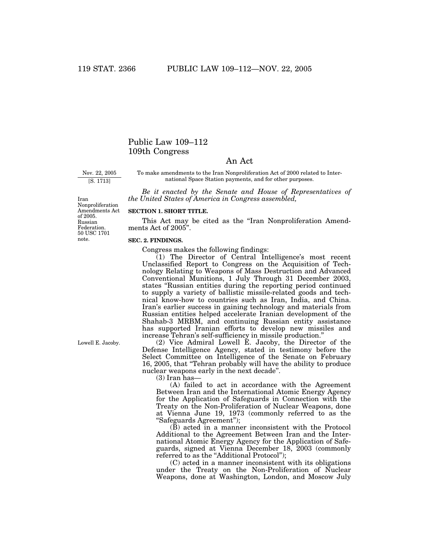# Public Law 109–112 109th Congress

## An Act

Nov. 22, 2005 [S. 1713]

To make amendments to the Iran Nonproliferation Act of 2000 related to International Space Station payments, and for other purposes.

*Be it enacted by the Senate and House of Representatives of the United States of America in Congress assembled,*

Iran Nonproliferation Amendments Act of 2005. Russian Federation. 50 USC 1701 note.

## **SECTION 1. SHORT TITLE.**

This Act may be cited as the "Iran Nonproliferation Amendments Act of 2005''.

#### **SEC. 2. FINDINGS.**

Congress makes the following findings:

(1) The Director of Central Intelligence's most recent Unclassified Report to Congress on the Acquisition of Technology Relating to Weapons of Mass Destruction and Advanced Conventional Munitions, 1 July Through 31 December 2003, states ''Russian entities during the reporting period continued to supply a variety of ballistic missile-related goods and technical know-how to countries such as Iran, India, and China. Iran's earlier success in gaining technology and materials from Russian entities helped accelerate Iranian development of the Shahab-3 MRBM, and continuing Russian entity assistance has supported Iranian efforts to develop new missiles and increase Tehran's self-sufficiency in missile production.''

(2) Vice Admiral Lowell E. Jacoby, the Director of the Defense Intelligence Agency, stated in testimony before the Select Committee on Intelligence of the Senate on February 16, 2005, that ''Tehran probably will have the ability to produce nuclear weapons early in the next decade''.

(3) Iran has—

(A) failed to act in accordance with the Agreement Between Iran and the International Atomic Energy Agency for the Application of Safeguards in Connection with the Treaty on the Non-Proliferation of Nuclear Weapons, done at Vienna June 19, 1973 (commonly referred to as the ''Safeguards Agreement'');

(B) acted in a manner inconsistent with the Protocol Additional to the Agreement Between Iran and the International Atomic Energy Agency for the Application of Safeguards, signed at Vienna December 18, 2003 (commonly referred to as the "Additional Protocol");

(C) acted in a manner inconsistent with its obligations under the Treaty on the Non-Proliferation of Nuclear Weapons, done at Washington, London, and Moscow July

Lowell E. Jacoby.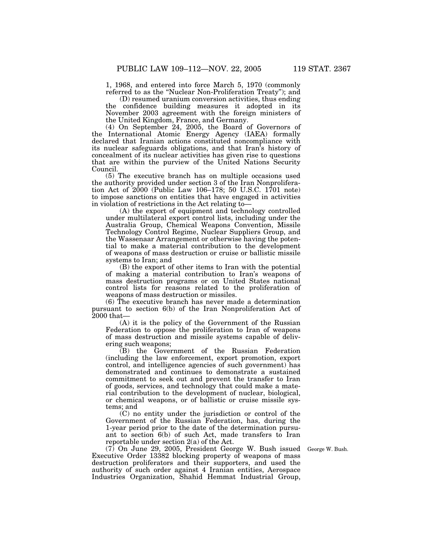1, 1968, and entered into force March 5, 1970 (commonly referred to as the ''Nuclear Non-Proliferation Treaty''); and

(D) resumed uranium conversion activities, thus ending the confidence building measures it adopted in its November 2003 agreement with the foreign ministers of the United Kingdom, France, and Germany.

(4) On September 24, 2005, the Board of Governors of the International Atomic Energy Agency (IAEA) formally declared that Iranian actions constituted noncompliance with its nuclear safeguards obligations, and that Iran's history of concealment of its nuclear activities has given rise to questions that are within the purview of the United Nations Security Council.

(5) The executive branch has on multiple occasions used the authority provided under section 3 of the Iran Nonproliferation Act of 2000 (Public Law 106–178; 50 U.S.C. 1701 note) to impose sanctions on entities that have engaged in activities in violation of restrictions in the Act relating to—

(A) the export of equipment and technology controlled under multilateral export control lists, including under the Australia Group, Chemical Weapons Convention, Missile Technology Control Regime, Nuclear Suppliers Group, and the Wassenaar Arrangement or otherwise having the potential to make a material contribution to the development of weapons of mass destruction or cruise or ballistic missile systems to Iran; and

(B) the export of other items to Iran with the potential of making a material contribution to Iran's weapons of mass destruction programs or on United States national control lists for reasons related to the proliferation of weapons of mass destruction or missiles.

(6) The executive branch has never made a determination pursuant to section 6(b) of the Iran Nonproliferation Act of 2000 that—

(A) it is the policy of the Government of the Russian Federation to oppose the proliferation to Iran of weapons of mass destruction and missile systems capable of delivering such weapons;

(B) the Government of the Russian Federation (including the law enforcement, export promotion, export control, and intelligence agencies of such government) has demonstrated and continues to demonstrate a sustained commitment to seek out and prevent the transfer to Iran of goods, services, and technology that could make a material contribution to the development of nuclear, biological, or chemical weapons, or of ballistic or cruise missile systems; and

(C) no entity under the jurisdiction or control of the Government of the Russian Federation, has, during the 1-year period prior to the date of the determination pursuant to section 6(b) of such Act, made transfers to Iran reportable under section 2(a) of the Act.

(7) On June 29, 2005, President George W. Bush issued Executive Order 13382 blocking property of weapons of mass destruction proliferators and their supporters, and used the authority of such order against 4 Iranian entities, Aerospace Industries Organization, Shahid Hemmat Industrial Group,

George W. Bush.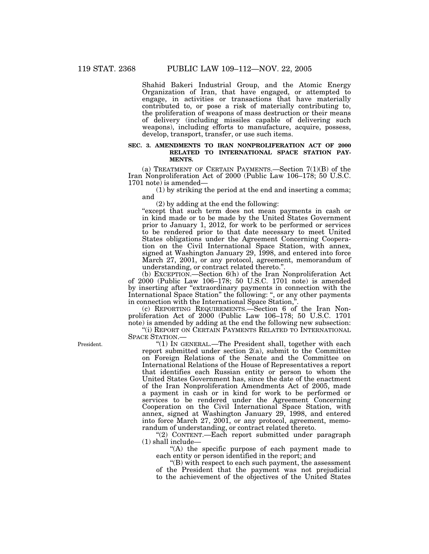Shahid Bakeri Industrial Group, and the Atomic Energy Organization of Iran, that have engaged, or attempted to engage, in activities or transactions that have materially contributed to, or pose a risk of materially contributing to, the proliferation of weapons of mass destruction or their means of delivery (including missiles capable of delivering such weapons), including efforts to manufacture, acquire, possess, develop, transport, transfer, or use such items.

## **SEC. 3. AMENDMENTS TO IRAN NONPROLIFERATION ACT OF 2000 RELATED TO INTERNATIONAL SPACE STATION PAY-MENTS.**

(a) TREATMENT OF CERTAIN PAYMENTS.—Section 7(1)(B) of the Iran Nonproliferation Act of 2000 (Public Law 106–178; 50 U.S.C. 1701 note) is amended—

(1) by striking the period at the end and inserting a comma; and

(2) by adding at the end the following:

"except that such term does not mean payments in cash or in kind made or to be made by the United States Government prior to January 1, 2012, for work to be performed or services to be rendered prior to that date necessary to meet United States obligations under the Agreement Concerning Cooperation on the Civil International Space Station, with annex, signed at Washington January 29, 1998, and entered into force March 27, 2001, or any protocol, agreement, memorandum of understanding, or contract related thereto.''.

(b) EXCEPTION.—Section 6(h) of the Iran Nonproliferation Act of 2000 (Public Law 106–178; 50 U.S.C. 1701 note) is amended by inserting after ''extraordinary payments in connection with the International Space Station'' the following: '', or any other payments in connection with the International Space Station,''.

(c) REPORTING REQUIREMENTS.—Section 6 of the Iran Nonproliferation Act of 2000 (Public Law 106–178; 50 U.S.C. 1701 note) is amended by adding at the end the following new subsection:

''(i) REPORT ON CERTAIN PAYMENTS RELATED TO INTERNATIONAL SPACE STATION.—

"(1) IN GENERAL.—The President shall, together with each report submitted under section 2(a), submit to the Committee on Foreign Relations of the Senate and the Committee on International Relations of the House of Representatives a report that identifies each Russian entity or person to whom the United States Government has, since the date of the enactment of the Iran Nonproliferation Amendments Act of 2005, made a payment in cash or in kind for work to be performed or services to be rendered under the Agreement Concerning Cooperation on the Civil International Space Station, with annex, signed at Washington January 29, 1998, and entered into force March 27, 2001, or any protocol, agreement, memorandum of understanding, or contract related thereto.

''(2) CONTENT.—Each report submitted under paragraph (1) shall include—

"(A) the specific purpose of each payment made to each entity or person identified in the report; and

''(B) with respect to each such payment, the assessment of the President that the payment was not prejudicial to the achievement of the objectives of the United States

President.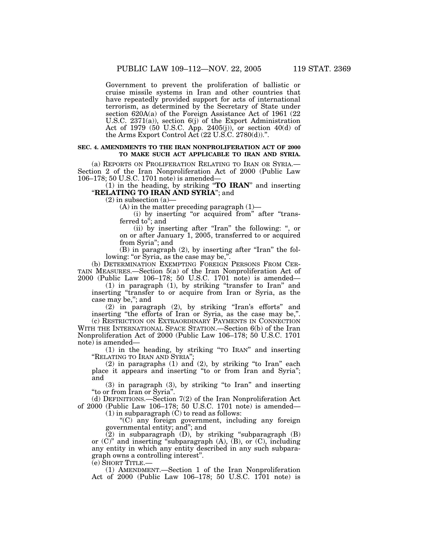Government to prevent the proliferation of ballistic or cruise missile systems in Iran and other countries that have repeatedly provided support for acts of international terrorism, as determined by the Secretary of State under section 620A(a) of the Foreign Assistance Act of 1961 (22 U.S.C. 2371(a)), section 6(j) of the Export Administration Act of 1979 (50 U.S.C. App. 2405(j)), or section 40(d) of the Arms Export Control Act (22 U.S.C. 2780(d)).''.

#### **SEC. 4. AMENDMENTS TO THE IRAN NONPROLIFERATION ACT OF 2000 TO MAKE SUCH ACT APPLICABLE TO IRAN AND SYRIA.**

(a) REPORTS ON PROLIFERATION RELATING TO IRAN OR SYRIA.— Section 2 of the Iran Nonproliferation Act of 2000 (Public Law 106–178; 50 U.S.C. 1701 note) is amended—

(1) in the heading, by striking ''**TO IRAN**'' and inserting "**RELATING TO IRAN AND SYRIA**"; and

 $(2)$  in subsection  $(a)$ —

 $(A)$  in the matter preceding paragraph  $(1)$ —

(i) by inserting "or acquired from" after "transferred to"; and

(ii) by inserting after "Iran" the following: ", or on or after January 1, 2005, transferred to or acquired from Syria''; and

(B) in paragraph (2), by inserting after "Iran" the following: "or Syria, as the case may be,".

(b) DETERMINATION EXEMPTING FOREIGN PERSONS FROM CER-TAIN MEASURES.—Section 5(a) of the Iran Nonproliferation Act of 2000 (Public Law 106–178; 50 U.S.C. 1701 note) is amended—

(1) in paragraph (1), by striking ''transfer to Iran'' and inserting "transfer to or acquire from Iran or Syria, as the case may be,''; and

(2) in paragraph (2), by striking ''Iran's efforts'' and inserting "the efforts of Iran or Syria, as the case may be,".

(c) RESTRICTION ON EXTRAORDINARY PAYMENTS IN CONNECTION WITH THE INTERNATIONAL SPACE STATION.—Section 6(b) of the Iran Nonproliferation Act of 2000 (Public Law 106–178; 50 U.S.C. 1701 note) is amended—

(1) in the heading, by striking ''TO IRAN'' and inserting ''RELATING TO IRAN AND SYRIA'';

(2) in paragraphs (1) and (2), by striking ''to Iran'' each place it appears and inserting ''to or from Iran and Syria''; and

(3) in paragraph (3), by striking ''to Iran'' and inserting ''to or from Iran or Syria''.

(d) DEFINITIONS.—Section 7(2) of the Iran Nonproliferation Act of 2000 (Public Law 106–178; 50 U.S.C. 1701 note) is amended—

(1) in subparagraph (C) to read as follows:

''(C) any foreign government, including any foreign governmental entity; and''; and

(2) in subparagraph (D), by striking ''subparagraph (B) or (C)'' and inserting ''subparagraph (A), (B), or (C), including any entity in which any entity described in any such subparagraph owns a controlling interest''.

(e) SHORT TITLE.—

(1) AMENDMENT.—Section 1 of the Iran Nonproliferation Act of 2000 (Public Law 106–178; 50 U.S.C. 1701 note) is